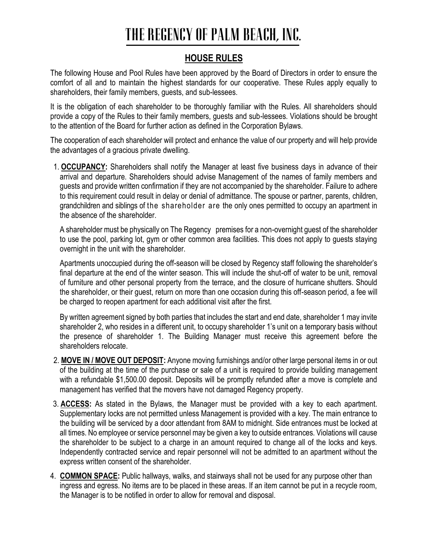#### **HOUSE RULES**

The following House and Pool Rules have been approved by the Board of Directors in order to ensure the comfort of all and to maintain the highest standards for our cooperative. These Rules apply equally to shareholders, their family members, guests, and sub-lessees.

It is the obligation of each shareholder to be thoroughly familiar with the Rules. All shareholders should provide a copy of the Rules to their family members, guests and sub-lessees. Violations should be brought to the attention of the Board for further action as defined in the Corporation Bylaws.

The cooperation of each shareholder will protect and enhance the value of our property and will help provide the advantages of a gracious private dwelling.

1. **OCCUPANCY:** Shareholders shall notify the Manager at least five business days in advance of their arrival and departure. Shareholders should advise Management of the names of family members and guests and provide written confirmation if they are not accompanied by the shareholder. Failure to adhere to this requirement could result in delay or denial of admittance. The spouse or partner, parents, children, grandchildren and siblings of the shareholder are the only ones permitted to occupy an apartment in the absence of the shareholder.

A shareholder must be physically on The Regency premises for a non-overnight guest of the shareholder to use the pool, parking lot, gym or other common area facilities. This does not apply to guests staying overnight in the unit with the shareholder.

Apartments unoccupied during the off-season will be closed by Regency staff following the shareholder's final departure at the end of the winter season. This will include the shut-off of water to be unit, removal of furniture and other personal property from the terrace, and the closure of hurricane shutters. Should the shareholder, or their guest, return on more than one occasion during this off-season period, a fee will be charged to reopen apartment for each additional visit after the first.

By written agreement signed by both parties that includes the start and end date, shareholder 1 may invite shareholder 2, who resides in a different unit, to occupy shareholder 1's unit on a temporary basis without the presence of shareholder 1. The Building Manager must receive this agreement before the shareholders relocate.

- 2. **MOVE IN / MOVE OUT DEPOSIT:** Anyone moving furnishings and/or other large personal items in or out of the building at the time of the purchase or sale of a unit is required to provide building management with a refundable \$1,500.00 deposit. Deposits will be promptly refunded after a move is complete and management has verified that the movers have not damaged Regency property.
- 3. **ACCESS:** As stated in the Bylaws, the Manager must be provided with a key to each apartment. Supplementary locks are not permitted unless Management is provided with a key. The main entrance to the building will be serviced by a door attendant from 8AM to midnight. Side entrances must be locked at all times. No employee or service personnel may be given a key to outside entrances. Violations will cause the shareholder to be subject to a charge in an amount required to change all of the locks and keys. Independently contracted service and repair personnel will not be admitted to an apartment without the express written consent of the shareholder.
- 4. **COMMON SPACE:** Public hallways, walks, and stairways shall not be used for any purpose other than ingress and egress. No items are to be placed in these areas. If an item cannot be put in a recycle room, the Manager is to be notified in order to allow for removal and disposal.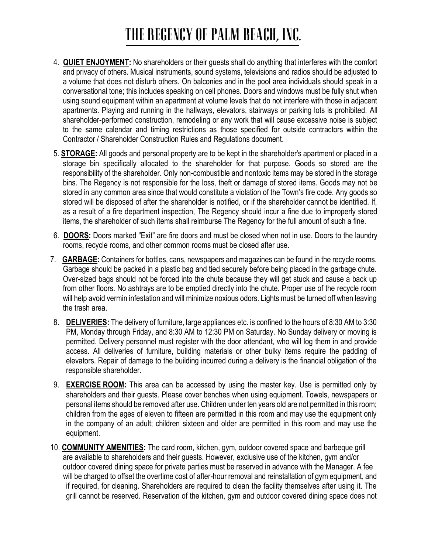- 4. **QUIET ENJOYMENT:** No shareholders or their guests shall do anything that interferes with the comfort and privacy of others. Musical instruments, sound systems, televisions and radios should be adjusted to a volume that does not disturb others. On balconies and in the pool area individuals should speak in a conversational tone; this includes speaking on cell phones. Doors and windows must be fully shut when using sound equipment within an apartment at volume levels that do not interfere with those in adjacent apartments. Playing and running in the hallways, elevators, stairways or parking lots is prohibited. All shareholder-performed construction, remodeling or any work that will cause excessive noise is subject to the same calendar and timing restrictions as those specified for outside contractors within the Contractor / Shareholder Construction Rules and Regulations document.
- 5. **STORAGE:** All goods and personal property are to be kept in the shareholder's apartment or placed in a storage bin specifically allocated to the shareholder for that purpose. Goods so stored are the responsibility of the shareholder. Only non-combustible and nontoxic items may be stored in the storage bins. The Regency is not responsible for the loss, theft or damage of stored items. Goods may not be stored in any common area since that would constitute a violation of the Town's fire code. Any goods so stored will be disposed of after the shareholder is notified, or if the shareholder cannot be identified. If, as a result of a fire department inspection, The Regency should incur a fine due to improperly stored items, the shareholder of such items shall reimburse The Regency for the full amount of such a fine.
- 6. **DOORS:** Doors marked "Exit" are fire doors and must be closed when not in use. Doors to the laundry rooms, recycle rooms, and other common rooms must be closed after use.
- 7. **GARBAGE:** Containers for bottles, cans, newspapers and magazines can be found in the recycle rooms. Garbage should be packed in a plastic bag and tied securely before being placed in the garbage chute. Over-sized bags should not be forced into the chute because they will get stuck and cause a back up from other floors. No ashtrays are to be emptied directly into the chute. Proper use of the recycle room will help avoid vermin infestation and will minimize noxious odors. Lights must be turned off when leaving the trash area.
- 8. **DELIVERIES:** The delivery of furniture, large appliances etc. is confined to the hours of 8:30 AM to 3:30 PM, Monday through Friday, and 8:30 AM to 12:30 PM on Saturday. No Sunday delivery or moving is permitted. Delivery personnel must register with the door attendant, who will log them in and provide access. All deliveries of furniture, building materials or other bulky items require the padding of elevators. Repair of damage to the building incurred during a delivery is the financial obligation of the responsible shareholder.
- 9. **EXERCISE ROOM:** This area can be accessed by using the master key. Use is permitted only by shareholders and their guests. Please cover benches when using equipment. Towels, newspapers or personal items should be removed after use. Children under ten years old are not permitted in this room; children from the ages of eleven to fifteen are permitted in this room and may use the equipment only in the company of an adult; children sixteen and older are permitted in this room and may use the equipment.
- 10. **COMMUNITY AMENITIES:** The card room, kitchen, gym, outdoor covered space and barbeque grill are available to shareholders and their guests. However, exclusive use of the kitchen, gym and/or outdoor covered dining space for private parties must be reserved in advance with the Manager. A fee will be charged to offset the overtime cost of after-hour removal and reinstallation of gym equipment, and if required, for cleaning. Shareholders are required to clean the facility themselves after using it. The grill cannot be reserved. Reservation of the kitchen, gym and outdoor covered dining space does not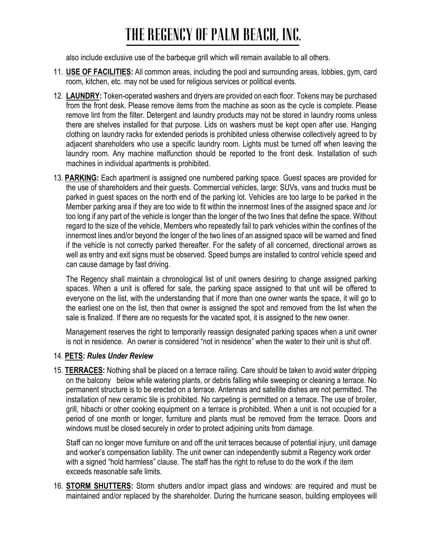also include exclusive use of the barbeque grill which will remain available to all others.

- 11. **USE OF FACILITIES:** All common areas, including the pool and surrounding areas, lobbies, gym, card room, kitchen, etc. may not be used for religious services or political events.
- 12. **LAUNDRY:** Token-operated washers and dryers are provided on each floor. Tokens may be purchased from the front desk. Please remove items from the machine as soon as the cycle is complete. Please remove lint from the filter. Detergent and laundry products may not be stored in laundry rooms unless there are shelves installed for that purpose. Lids on washers must be kept open after use. Hanging clothing on laundry racks for extended periods is prohibited unless otherwise collectively agreed to by adjacent shareholders who use a specific laundry room. Lights must be turned off when leaving the laundry room. Any machine malfunction should be reported to the front desk. Installation of such machines in individual apartments is prohibited.
- 13. **PARKING:** Each apartment is assigned one numbered parking space. Guest spaces are provided for the use of shareholders and their guests. Commercial vehicles, large: SUVs, vans and trucks must be parked in guest spaces on the north end of the parking lot. Vehicles are too large to be parked in the Member parking area if they are too wide to fit within the innermost lines of the assigned space and /or too long if any part of the vehicle is longer than the longer of the two lines that define the space. Without regard to the size of the vehicle, Members who repeatedly fail to park vehicles within the confines of the innermost lines and/or beyond the longer of the two lines of an assigned space will be warned and fined if the vehicle is not correctly parked thereafter. For the safety of all concerned, directional arrows as well as entry and exit signs must be observed. Speed bumps are installed to control vehicle speed and can cause damage by fast driving.

The Regency shall maintain a chronological list of unit owners desiring to change assigned parking spaces. When a unit is offered for sale, the parking space assigned to that unit will be offered to everyone on the list, with the understanding that if more than one owner wants the space, it will go to the earliest one on the list, then that owner is assigned the spot and removed from the list when the sale is finalized. If there are no requests for the vacated spot, it is assigned to the new owner.

Management reserves the right to temporarily reassign designated parking spaces when a unit owner is not in residence. An owner is considered "not in residence" when the water to their unit is shut off.

#### 14. **PETS:** *Rules Under Review*

15. **TERRACES:** Nothing shall be placed on a terrace railing. Care should be taken to avoid water dripping on the balcony below while watering plants, or debris falling while sweeping or cleaning a terrace. No permanent structure is to be erected on a terrace. Antennas and satellite dishes are not permitted. The installation of new ceramic tile is prohibited. No carpeting is permitted on a terrace. The use of broiler, grill, hibachi or other cooking equipment on a terrace is prohibited. When a unit is not occupied for a period of one month or longer, furniture and plants must be removed from the terrace. Doors and windows must be closed securely in order to protect adjoining units from damage.

Staff can no longer move furniture on and off the unit terraces because of potential injury, unit damage and worker's compensation liability. The unit owner can independently submit a Regency work order with a signed "hold harmless" clause. The staff has the right to refuse to do the work if the item exceeds reasonable safe limits.

16. **STORM SHUTTERS:** Storm shutters and/or impact glass and windows: are required and must be maintained and/or replaced by the shareholder. During the hurricane season, building employees will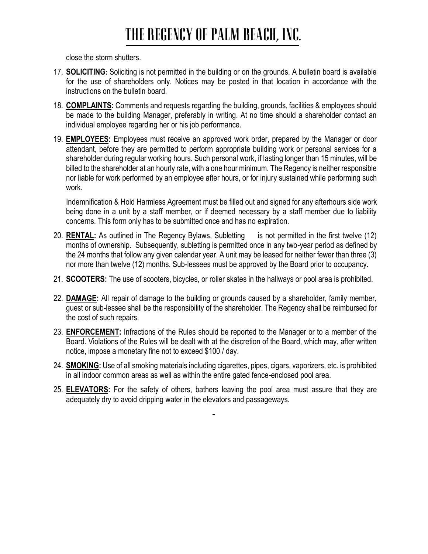close the storm shutters.

- 17. **SOLICITING:** Soliciting is not permitted in the building or on the grounds. A bulletin board is available for the use of shareholders only. Notices may be posted in that location in accordance with the instructions on the bulletin board.
- 18. **COMPLAINTS:** Comments and requests regarding the building, grounds, facilities & employees should be made to the building Manager, preferably in writing. At no time should a shareholder contact an individual employee regarding her or his job performance.
- 19. **EMPLOYEES:** Employees must receive an approved work order, prepared by the Manager or door attendant, before they are permitted to perform appropriate building work or personal services for a shareholder during regular working hours. Such personal work, if lasting longer than 15 minutes, will be billed to the shareholder at an hourly rate, with a one hour minimum. The Regency is neither responsible nor liable for work performed by an employee after hours, or for injury sustained while performing such work.

Indemnification & Hold Harmless Agreement must be filled out and signed for any afterhours side work being done in a unit by a staff member, or if deemed necessary by a staff member due to liability concerns. This form only has to be submitted once and has no expiration.

- 20. **RENTAL:** As outlined in The Regency Bylaws, Subletting is not permitted in the first twelve (12) months of ownership. Subsequently, subletting is permitted once in any two-year period as defined by the 24 months that follow any given calendar year. A unit may be leased for neither fewer than three (3) nor more than twelve (12) months. Sub-lessees must be approved by the Board prior to occupancy.
- 21. **SCOOTERS:** The use of scooters, bicycles, or roller skates in the hallways or pool area is prohibited.
- 22. **DAMAGE:** All repair of damage to the building or grounds caused by a shareholder, family member, guest or sub-lessee shall be the responsibility of the shareholder. The Regency shall be reimbursed for the cost of such repairs.
- 23. **ENFORCEMENT:** Infractions of the Rules should be reported to the Manager or to a member of the Board. Violations of the Rules will be dealt with at the discretion of the Board, which may, after written notice, impose a monetary fine not to exceed \$100 / day.
- 24. **SMOKING:** Use of all smoking materials including cigarettes, pipes, cigars, vaporizers, etc. is prohibited in all indoor common areas as well as within the entire gated fence-enclosed pool area.
- 25. **ELEVATORS:** For the safety of others, bathers leaving the pool area must assure that they are adequately dry to avoid dripping water in the elevators and passageways.